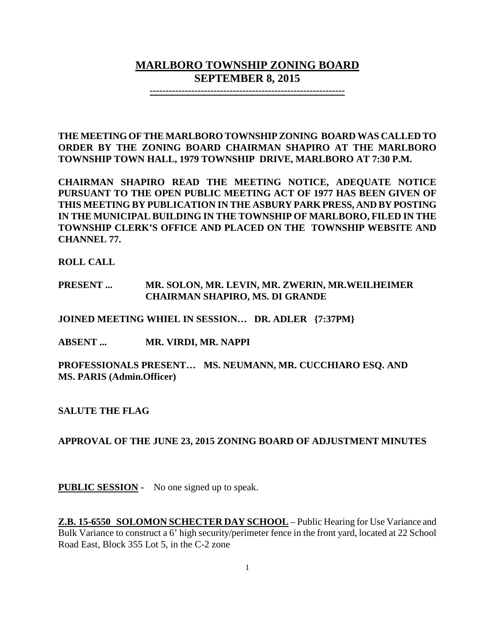# **MARLBORO TOWNSHIP ZONING BOARD SEPTEMBER 8, 2015**

**-------------------------------------------------------------**

**THE MEETING OF THE MARLBORO TOWNSHIP ZONING BOARD WAS CALLED TO ORDER BY THE ZONING BOARD CHAIRMAN SHAPIRO AT THE MARLBORO TOWNSHIP TOWN HALL, 1979 TOWNSHIP DRIVE, MARLBORO AT 7:30 P.M.**

**CHAIRMAN SHAPIRO READ THE MEETING NOTICE, ADEQUATE NOTICE PURSUANT TO THE OPEN PUBLIC MEETING ACT OF 1977 HAS BEEN GIVEN OF THIS MEETING BY PUBLICATION IN THE ASBURY PARK PRESS, AND BY POSTING IN THE MUNICIPAL BUILDING IN THE TOWNSHIP OF MARLBORO, FILED IN THE TOWNSHIP CLERK'S OFFICE AND PLACED ON THE TOWNSHIP WEBSITE AND CHANNEL 77.**

**ROLL CALL**

## **PRESENT ... MR. SOLON, MR. LEVIN, MR. ZWERIN, MR.WEILHEIMER CHAIRMAN SHAPIRO, MS. DI GRANDE**

**JOINED MEETING WHIEL IN SESSION… DR. ADLER {7:37PM}**

**ABSENT ... MR. VIRDI, MR. NAPPI**

**PROFESSIONALS PRESENT… MS. NEUMANN, MR. CUCCHIARO ESQ. AND MS. PARIS (Admin.Officer)**

**SALUTE THE FLAG**

**APPROVAL OF THE JUNE 23, 2015 ZONING BOARD OF ADJUSTMENT MINUTES**

**PUBLIC SESSION -** No one signed up to speak.

**Z.B. 15-6550 SOLOMON SCHECTER DAY SCHOOL** – Public Hearing for Use Variance and Bulk Variance to construct a 6' high security/perimeter fence in the front yard, located at 22 School Road East, Block 355 Lot 5, in the C-2 zone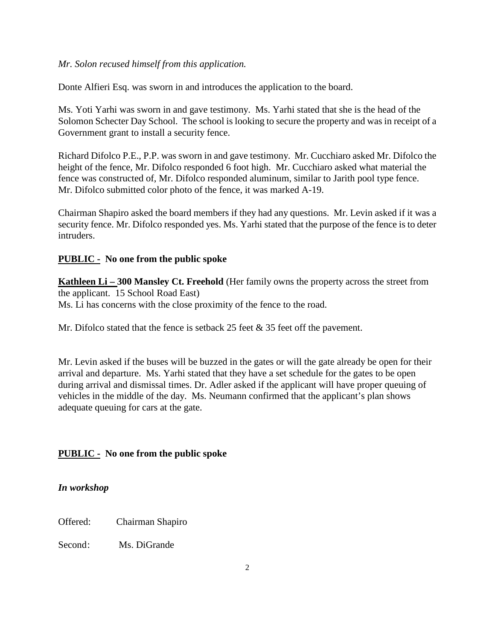### *Mr. Solon recused himself from this application.*

Donte Alfieri Esq. was sworn in and introduces the application to the board.

Ms. Yoti Yarhi was sworn in and gave testimony. Ms. Yarhi stated that she is the head of the Solomon Schecter Day School. The school is looking to secure the property and was in receipt of a Government grant to install a security fence.

Richard Difolco P.E., P.P. was sworn in and gave testimony. Mr. Cucchiaro asked Mr. Difolco the height of the fence, Mr. Difolco responded 6 foot high. Mr. Cucchiaro asked what material the fence was constructed of, Mr. Difolco responded aluminum, similar to Jarith pool type fence. Mr. Difolco submitted color photo of the fence, it was marked A-19.

Chairman Shapiro asked the board members if they had any questions. Mr. Levin asked if it was a security fence. Mr. Difolco responded yes. Ms. Yarhi stated that the purpose of the fence is to deter intruders.

## **PUBLIC - No one from the public spoke**

**Kathleen Li – 300 Mansley Ct. Freehold** (Her family owns the property across the street from the applicant. 15 School Road East) Ms. Li has concerns with the close proximity of the fence to the road.

Mr. Difolco stated that the fence is setback 25 feet & 35 feet off the pavement.

Mr. Levin asked if the buses will be buzzed in the gates or will the gate already be open for their arrival and departure. Ms. Yarhi stated that they have a set schedule for the gates to be open during arrival and dismissal times. Dr. Adler asked if the applicant will have proper queuing of vehicles in the middle of the day. Ms. Neumann confirmed that the applicant's plan shows adequate queuing for cars at the gate.

## **PUBLIC - No one from the public spoke**

#### *In workshop*

Offered: Chairman Shapiro

Second: Ms. DiGrande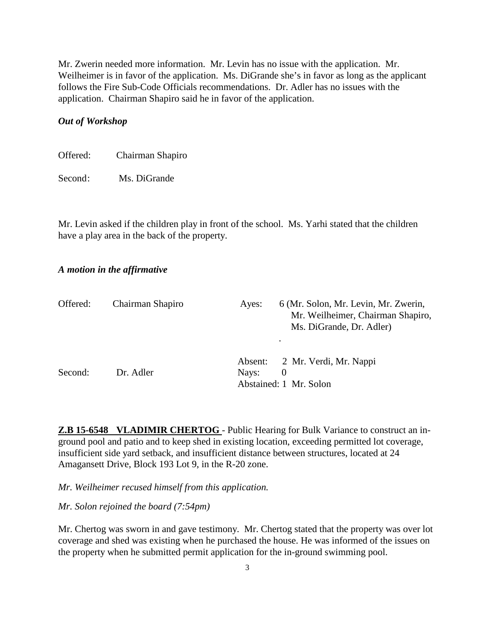Mr. Zwerin needed more information. Mr. Levin has no issue with the application. Mr. Weilheimer is in favor of the application. Ms. DiGrande she's in favor as long as the applicant follows the Fire Sub-Code Officials recommendations. Dr. Adler has no issues with the application. Chairman Shapiro said he in favor of the application.

#### *Out of Workshop*

| Offered: | Chairman Shapiro |  |
|----------|------------------|--|
|----------|------------------|--|

Second: Ms. DiGrande

Mr. Levin asked if the children play in front of the school. Ms. Yarhi stated that the children have a play area in the back of the property.

#### *A motion in the affirmative*

| Offered: | Chairman Shapiro | Ayes: | 6 (Mr. Solon, Mr. Levin, Mr. Zwerin,<br>Mr. Weilheimer, Chairman Shapiro,<br>Ms. DiGrande, Dr. Adler) |
|----------|------------------|-------|-------------------------------------------------------------------------------------------------------|
| Second:  | Dr. Adler        | Nays: | Absent: 2 Mr. Verdi, Mr. Nappi<br>$\Omega$<br>Abstained: 1 Mr. Solon                                  |

**Z.B 15-6548 VLADIMIR CHERTOG** - Public Hearing for Bulk Variance to construct an inground pool and patio and to keep shed in existing location, exceeding permitted lot coverage, insufficient side yard setback, and insufficient distance between structures, located at 24 Amagansett Drive, Block 193 Lot 9, in the R-20 zone.

*Mr. Weilheimer recused himself from this application.*

*Mr. Solon rejoined the board (7:54pm)*

Mr. Chertog was sworn in and gave testimony. Mr. Chertog stated that the property was over lot coverage and shed was existing when he purchased the house. He was informed of the issues on the property when he submitted permit application for the in-ground swimming pool.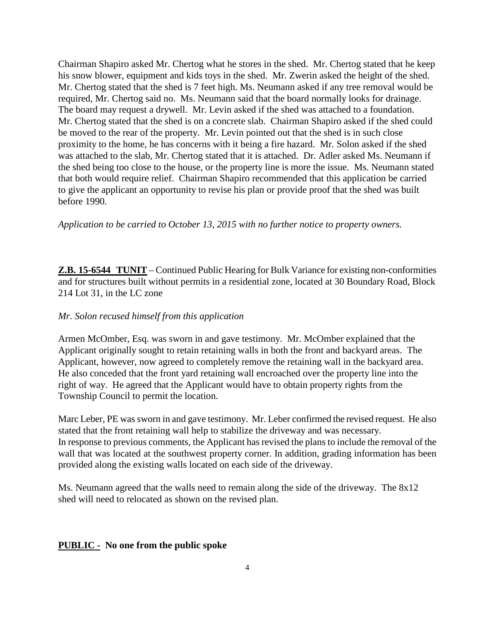Chairman Shapiro asked Mr. Chertog what he stores in the shed. Mr. Chertog stated that he keep his snow blower, equipment and kids toys in the shed. Mr. Zwerin asked the height of the shed. Mr. Chertog stated that the shed is 7 feet high. Ms. Neumann asked if any tree removal would be required, Mr. Chertog said no. Ms. Neumann said that the board normally looks for drainage. The board may request a drywell. Mr. Levin asked if the shed was attached to a foundation. Mr. Chertog stated that the shed is on a concrete slab. Chairman Shapiro asked if the shed could be moved to the rear of the property. Mr. Levin pointed out that the shed is in such close proximity to the home, he has concerns with it being a fire hazard. Mr. Solon asked if the shed was attached to the slab, Mr. Chertog stated that it is attached. Dr. Adler asked Ms. Neumann if the shed being too close to the house, or the property line is more the issue. Ms. Neumann stated that both would require relief. Chairman Shapiro recommended that this application be carried to give the applicant an opportunity to revise his plan or provide proof that the shed was built before 1990.

*Application to be carried to October 13, 2015 with no further notice to property owners.* 

**Z.B. 15-6544 TUNIT** – Continued Public Hearing for Bulk Variance for existing non-conformities and for structures built without permits in a residential zone, located at 30 Boundary Road, Block 214 Lot 31, in the LC zone

#### *Mr. Solon recused himself from this application*

Armen McOmber, Esq. was sworn in and gave testimony. Mr. McOmber explained that the Applicant originally sought to retain retaining walls in both the front and backyard areas. The Applicant, however, now agreed to completely remove the retaining wall in the backyard area. He also conceded that the front yard retaining wall encroached over the property line into the right of way. He agreed that the Applicant would have to obtain property rights from the Township Council to permit the location.

Marc Leber, PE was sworn in and gave testimony. Mr. Leber confirmed the revised request. He also stated that the front retaining wall help to stabilize the driveway and was necessary. In response to previous comments, the Applicant has revised the plans to include the removal of the wall that was located at the southwest property corner. In addition, grading information has been provided along the existing walls located on each side of the driveway.

Ms. Neumann agreed that the walls need to remain along the side of the driveway. The 8x12 shed will need to relocated as shown on the revised plan.

#### **PUBLIC - No one from the public spoke**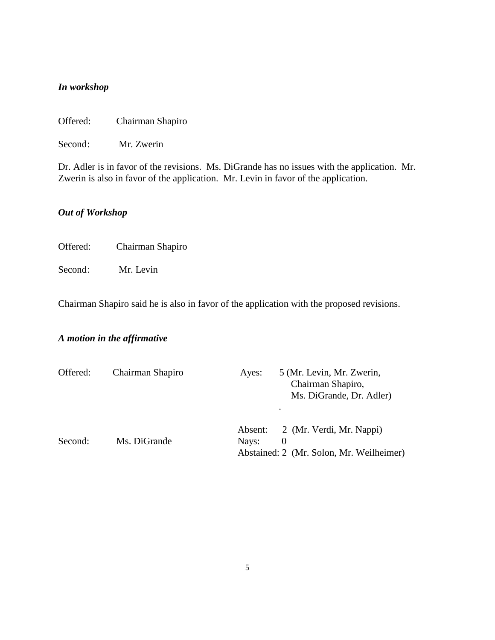## *In workshop*

Offered: Chairman Shapiro

Second: Mr. Zwerin

Dr. Adler is in favor of the revisions. Ms. DiGrande has no issues with the application. Mr. Zwerin is also in favor of the application. Mr. Levin in favor of the application.

## *Out of Workshop*

Offered: Chairman Shapiro

Second: Mr. Levin

Chairman Shapiro said he is also in favor of the application with the proposed revisions.

## *A motion in the affirmative*

| Offered: | Chairman Shapiro | Ayes:            | 5 (Mr. Levin, Mr. Zwerin,<br>Chairman Shapiro,<br>Ms. DiGrande, Dr. Adler) |
|----------|------------------|------------------|----------------------------------------------------------------------------|
| Second:  | Ms. DiGrande     | Absent:<br>Nays: | 2 (Mr. Verdi, Mr. Nappi)<br>Abstained: 2 (Mr. Solon, Mr. Weilheimer)       |